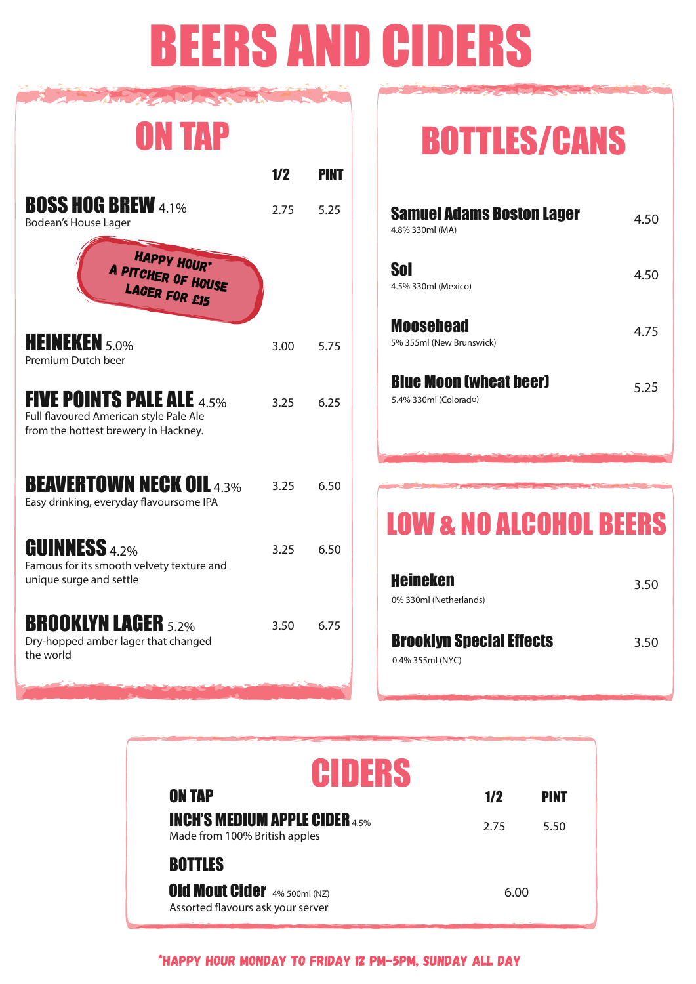# BEERS AND CIDERS

| <b>ON TAP</b>                                                                                                      |      |      |
|--------------------------------------------------------------------------------------------------------------------|------|------|
|                                                                                                                    | 1/2  | PINT |
| <b>BOSS HOG BREW 4.1%</b><br>Bodean's House Lager                                                                  | 2.75 | 5.25 |
| <b>HAPPY HOUR*</b><br>A PITCHER OF HOUSE                                                                           |      |      |
| <b>HEINEKEN</b> 5.0%<br>Premium Dutch beer                                                                         | 3.00 | 5.75 |
| <b>FIVE POINTS PALE ALE 4.5%</b><br>Full flavoured American style Pale Ale<br>from the hottest brewery in Hackney. | 3.25 | 6.25 |
| <b>BEAVERTOWN NECK OIL 4.3%</b><br>Easy drinking, everyday flavoursome IPA                                         | 3.25 | 6.50 |
| <b>GUINNESS 4.2%</b><br>Famous for its smooth velvety texture and<br>unique surge and settle                       | 3.25 | 6.50 |
| <b>BROOKLYN LAGER 5.2%</b><br>Dry-hopped amber lager that changed<br>the world                                     | 3.50 | 6.75 |

## BOTTLES/CANS

| <b>Samuel Adams Boston Lager</b><br>4.8% 330ml (MA)    | 4.50 |
|--------------------------------------------------------|------|
| Sol<br>4.5% 330ml (Mexico)                             | 4.50 |
| <b>Moosehead</b><br>5% 355ml (New Brunswick)           | 4.75 |
| <b>Blue Moon (wheat beer)</b><br>5.4% 330ml (Colorado) | 5.25 |

## LOW & NO ALCOHOL BEERS

| <b>Heineken</b><br>0% 330ml (Netherlands)           | 3.50 |
|-----------------------------------------------------|------|
| <b>Brooklyn Special Effects</b><br>0.4% 355ml (NYC) | 3.50 |

| CIDERS                                                                   |      |      |
|--------------------------------------------------------------------------|------|------|
| <b>ON TAP</b>                                                            | 1/2  | PINT |
| <b>INCH'S MEDIUM APPLE CIDER 4.5%</b><br>Made from 100% British apples   | 2.75 | 5.50 |
| <b>BOTTLES</b>                                                           |      |      |
| <b>Old Mout Cider</b> 4% 500ml (NZ)<br>Assorted flavours ask your server | 6.00 |      |

\*HAPPY HOUR MONDAY TO FRIDAY 12 PM-5PM, SUNDAY ALL DAY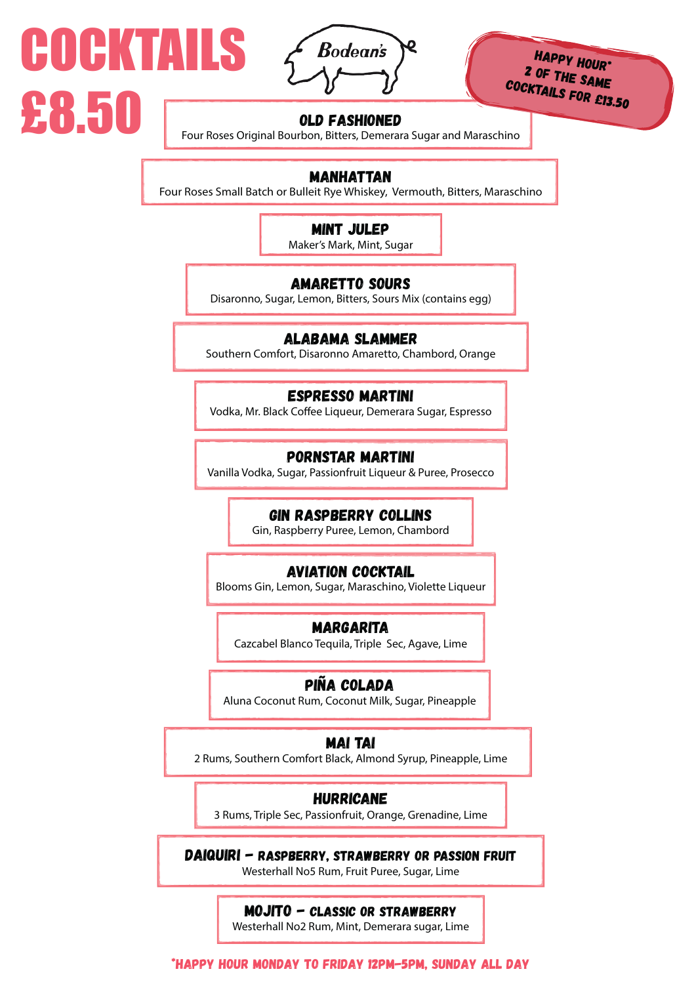

COCKTAILS

£8.50

HAPPY HOUR\* 2 OF THE SAME cocktails for £13.50

### OLD FASHIONED

Four Roses Original Bourbon, Bitters, Demerara Sugar and Maraschino

## MANHATTAN

Four Roses Small Batch or Bulleit Rye Whiskey, Vermouth, Bitters, Maraschino

## MINT JULEP

Maker's Mark, Mint, Sugar

## AMARETTO SOURS

Disaronno, Sugar, Lemon, Bitters, Sours Mix (contains egg)

## ALABAMA SLAMMER

Southern Comfort, Disaronno Amaretto, Chambord, Orange

## ESPRESSO MARTINI

Vodka, Mr. Black Coffee Liqueur, Demerara Sugar, Espresso

## PORNSTAR MARTINI

Vanilla Vodka, Sugar, Passionfruit Liqueur & Puree, Prosecco

## GIN RASPBERRY COLLINS

Gin, Raspberry Puree, Lemon, Chambord

## AVIATION COCKTAIL

Blooms Gin, Lemon, Sugar, Maraschino, Violette Liqueur

## MARGARITA

Cazcabel Blanco Tequila, Triple Sec, Agave, Lime

## piña colada

Aluna Coconut Rum, Coconut Milk, Sugar, Pineapple

## MAI TAI

2 Rums, Southern Comfort Black, Almond Syrup, Pineapple, Lime

## HURRICANE

3 Rums, Triple Sec, Passionfruit, Orange, Grenadine, Lime

DAIQUIRI - RASPBERRY, STRAWBERRY OR PASSION FRUIT Westerhall No5 Rum, Fruit Puree, Sugar, Lime

## MOJITO - CLASSIC OR STRAWBERRY

Westerhall No2 Rum, Mint, Demerara sugar, Lime

\*HAPPY HOUR MONDAY TO FRIDAY 12PM-5PM, SUNDAY ALL DAY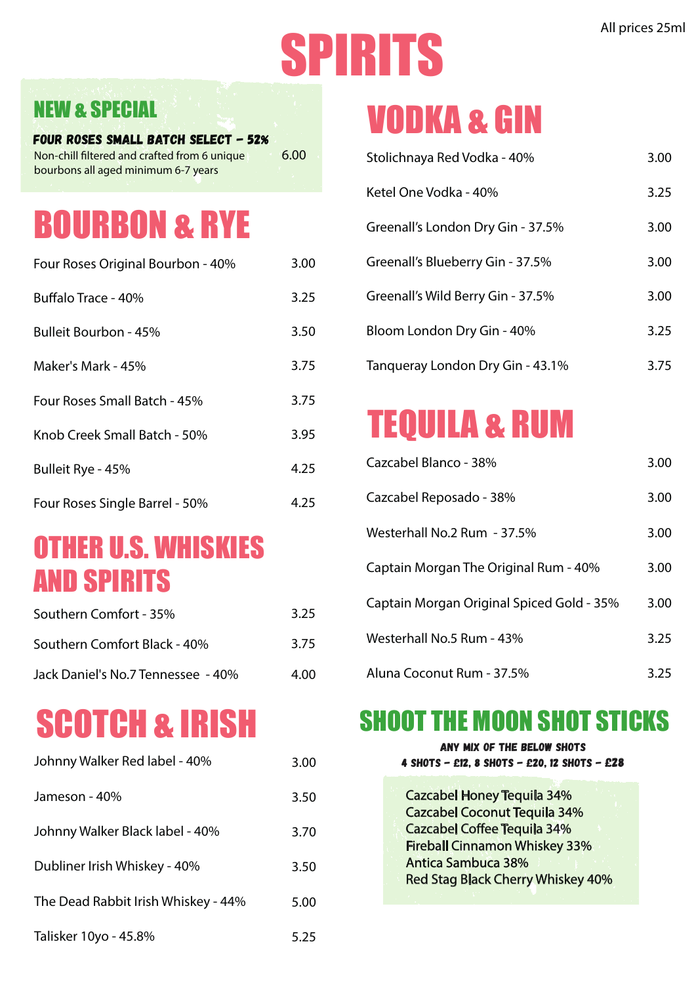# All prices 25ml

## NEW & SPECIAL

Four Roses Small Batch Select - 52% 6.00 Non-chill filtered and crafted from 6 unique bourbons all aged minimum 6-7 years

## BOURBON & RYE

| Four Roses Original Bourbon - 40% | 3.00 |
|-----------------------------------|------|
| Buffalo Trace - 40%               | 3.25 |
| Bulleit Bourbon - 45%             | 3.50 |
| Maker's Mark - 45%                | 3.75 |
| Four Roses Small Batch - 45%      | 3.75 |
| Knob Creek Small Batch - 50%      | 3.95 |
| Bulleit Rye - 45%                 | 4.25 |
| Four Roses Single Barrel - 50%    | 4.25 |

## OTHER U.S. WHISKIES AND SPIRITS

| Southern Comfort - 35%             | 3.25 |
|------------------------------------|------|
| Southern Comfort Black - 40%       | 3.75 |
| Jack Daniel's No.7 Tennessee - 40% | 4.00 |

## SCOTCH & IRISH

| Johnny Walker Red label - 40%       | 3.00 |
|-------------------------------------|------|
| Jameson - 40%                       | 3.50 |
| Johnny Walker Black label - 40%     | 3.70 |
| Dubliner Irish Whiskey - 40%        | 3.50 |
| The Dead Rabbit Irish Whiskey - 44% | 5.00 |
| Talisker 10yo - 45.8%               | 5.25 |

## VODKA & GIN

| Stolichnaya Red Vodka - 40%       | 3.00 |
|-----------------------------------|------|
| Ketel One Vodka - 40%             | 3.25 |
| Greenall's London Dry Gin - 37.5% | 3.00 |
| Greenall's Blueberry Gin - 37.5%  | 3.00 |
| Greenall's Wild Berry Gin - 37.5% | 3.00 |
| Bloom London Dry Gin - 40%        | 3.25 |
| Tangueray London Dry Gin - 43.1%  | 3.75 |

## TEQUILA & RUM

| Cazcabel Blanco - 38%                     | 3.00 |
|-------------------------------------------|------|
| Cazcabel Reposado - 38%                   | 3.00 |
| Westerhall No.2 Rum - 37.5%               | 3.00 |
| Captain Morgan The Original Rum - 40%     | 3.00 |
| Captain Morgan Original Spiced Gold - 35% | 3.00 |
| Westerhall No.5 Rum - 43%                 | 3.25 |
| Aluna Coconut Rum - 37.5%                 | 3.25 |

## SHOOT THE MOON SHOT STICKS

| ANY MIX OF THE BELOW SHOTS<br>4 SHOTS - £12, 8 SHOTS - £20, 12 SHOTS - £28 |
|----------------------------------------------------------------------------|
| <b>Cazcabel Honey Tequila 34%</b>                                          |
| <b>Cazcabel Coconut Tequila 34%</b>                                        |
| <b>Cazcabel Coffee Tequila 34%</b>                                         |
| <b>Fireball Cinnamon Whiskey 33%</b>                                       |
| <b>Antica Sambuca 38%</b>                                                  |
| <b>Red Stag Black Cherry Whiskey 40%</b>                                   |
|                                                                            |